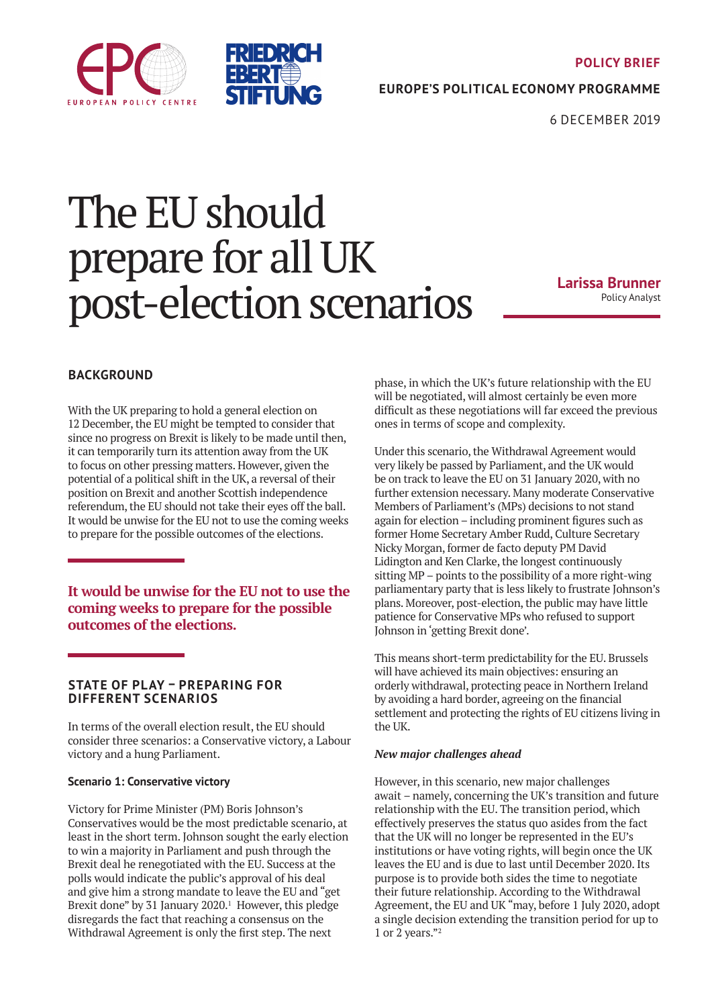



**POLICY BRIEF**

**EUROPE'S POLITICAL ECONOMY PROGRAMME**

6 DECEMBER 2019

# The EU should prepare for all UK post-election scenarios

**Larissa Brunner**  Policy Analyst

## **BACKGROUND**

With the UK preparing to hold a general election on 12 December, the EU might be tempted to consider that since no progress on Brexit is likely to be made until then, it can temporarily turn its attention away from the UK to focus on other pressing matters. However, given the potential of a political shift in the UK, a reversal of their position on Brexit and another Scottish independence referendum, the EU should not take their eyes off the ball. It would be unwise for the EU not to use the coming weeks to prepare for the possible outcomes of the elections.

**It would be unwise for the EU not to use the coming weeks to prepare for the possible outcomes of the elections.**

#### **STATE OF PLAY – PREPARING FOR DIFFERENT SCENARIOS**

In terms of the overall election result, the EU should consider three scenarios: a Conservative victory, a Labour victory and a hung Parliament.

#### **Scenario 1: Conservative victory**

Victory for Prime Minister (PM) Boris Johnson's Conservatives would be the most predictable scenario, at least in the short term. Johnson sought the early election to win a majority in Parliament and push through the Brexit deal he renegotiated with the EU. Success at the polls would indicate the public's approval of his deal and give him a strong mandate to leave the EU and "get Brexit done" by 31 January 2020.<sup>1</sup> However, this pledge disregards the fact that reaching a consensus on the Withdrawal Agreement is only the first step. The next

phase, in which the UK's future relationship with the EU will be negotiated, will almost certainly be even more difficult as these negotiations will far exceed the previous ones in terms of scope and complexity.

Under this scenario, the Withdrawal Agreement would very likely be passed by Parliament, and the UK would be on track to leave the EU on 31 January 2020, with no further extension necessary. Many moderate Conservative Members of Parliament's (MPs) decisions to not stand again for election – including prominent figures such as former Home Secretary Amber Rudd, Culture Secretary Nicky Morgan, former de facto deputy PM David Lidington and Ken Clarke, the longest continuously sitting MP – points to the possibility of a more right-wing parliamentary party that is less likely to frustrate Johnson's plans. Moreover, post-election, the public may have little patience for Conservative MPs who refused to support Johnson in 'getting Brexit done'.

This means short-term predictability for the EU. Brussels will have achieved its main objectives: ensuring an orderly withdrawal, protecting peace in Northern Ireland by avoiding a hard border, agreeing on the financial settlement and protecting the rights of EU citizens living in the UK.

#### *New major challenges ahead*

However, in this scenario, new major challenges await – namely, concerning the UK's transition and future relationship with the EU. The transition period, which effectively preserves the status quo asides from the fact that the UK will no longer be represented in the EU's institutions or have voting rights, will begin once the UK leaves the EU and is due to last until December 2020. Its purpose is to provide both sides the time to negotiate their future relationship. According to the Withdrawal Agreement, the EU and UK "may, before 1 July 2020, adopt a single decision extending the transition period for up to 1 or 2 years."2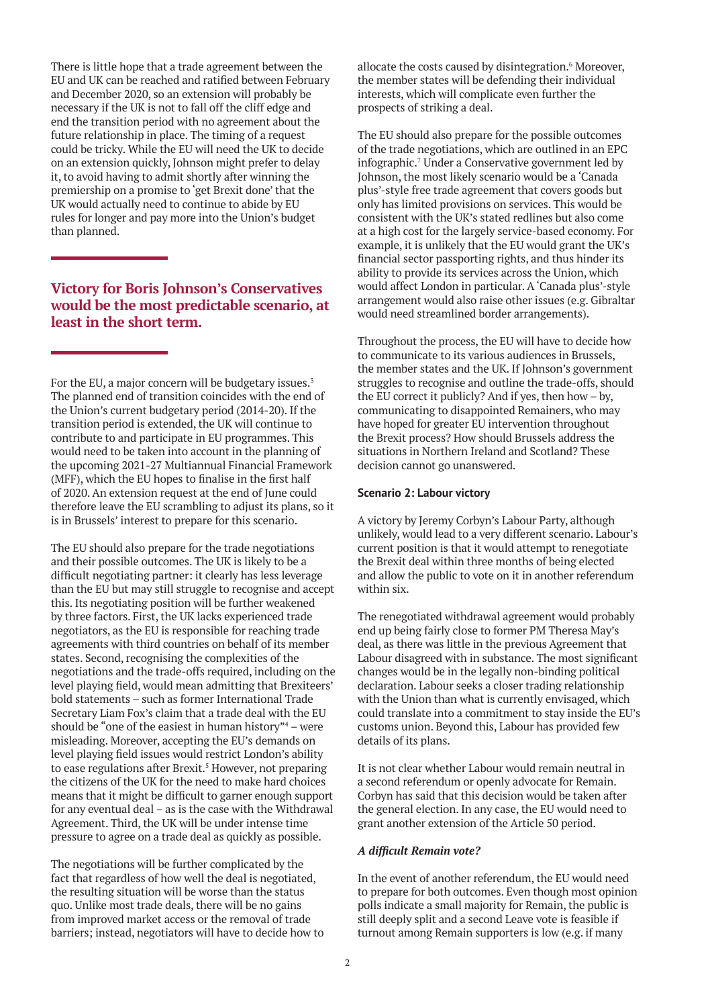There is little hope that a trade agreement between the EU and UK can be reached and ratified between February and December 2020, so an extension will probably be necessary if the UK is not to fall off the cliff edge and end the transition period with no agreement about the future relationship in place. The timing of a request could be tricky. While the EU will need the UK to decide on an extension quickly, Johnson might prefer to delay it, to avoid having to admit shortly after winning the premiership on a promise to 'get Brexit done' that the UK would actually need to continue to abide by EU rules for longer and pay more into the Union's budget than planned.

## **Victory for Boris Johnson's Conservatives would be the most predictable scenario, at least in the short term.**

For the EU, a major concern will be budgetary issues.<sup>3</sup> The planned end of transition coincides with the end of the Union's current budgetary period (2014-20). If the transition period is extended, the UK will continue to contribute to and participate in EU programmes. This would need to be taken into account in the planning of the upcoming 2021-27 Multiannual Financial Framework (MFF), which the EU hopes to finalise in the first half of 2020. An extension request at the end of June could therefore leave the EU scrambling to adjust its plans, so it is in Brussels' interest to prepare for this scenario.

The EU should also prepare for the trade negotiations and their possible outcomes. The UK is likely to be a difficult negotiating partner: it clearly has less leverage than the EU but may still struggle to recognise and accept this. Its negotiating position will be further weakened by three factors. First, the UK lacks experienced trade negotiators, as the EU is responsible for reaching trade agreements with third countries on behalf of its member states. Second, recognising the complexities of the negotiations and the trade-offs required, including on the level playing field, would mean admitting that Brexiteers' bold statements – such as former International Trade Secretary Liam Fox's claim that a trade deal with the EU should be "one of the easiest in human history"4 – were misleading. Moreover, accepting the EU's demands on level playing field issues would restrict London's ability to ease regulations after Brexit.<sup>5</sup> However, not preparing the citizens of the UK for the need to make hard choices means that it might be difficult to garner enough support for any eventual deal – as is the case with the Withdrawal Agreement. Third, the UK will be under intense time pressure to agree on a trade deal as quickly as possible.

The negotiations will be further complicated by the fact that regardless of how well the deal is negotiated, the resulting situation will be worse than the status quo. Unlike most trade deals, there will be no gains from improved market access or the removal of trade barriers; instead, negotiators will have to decide how to

allocate the costs caused by disintegration.<sup>6</sup> Moreover, the member states will be defending their individual interests, which will complicate even further the prospects of striking a deal.

The EU should also prepare for the possible outcomes of the trade negotiations, which are outlined in an EPC infographic.7 Under a Conservative government led by Johnson, the most likely scenario would be a 'Canada plus'-style free trade agreement that covers goods but only has limited provisions on services. This would be consistent with the UK's stated redlines but also come at a high cost for the largely service-based economy. For example, it is unlikely that the EU would grant the UK's financial sector passporting rights, and thus hinder its ability to provide its services across the Union, which would affect London in particular. A 'Canada plus'-style arrangement would also raise other issues (e.g. Gibraltar would need streamlined border arrangements).

Throughout the process, the EU will have to decide how to communicate to its various audiences in Brussels, the member states and the UK. If Johnson's government struggles to recognise and outline the trade-offs, should the EU correct it publicly? And if yes, then how – by, communicating to disappointed Remainers, who may have hoped for greater EU intervention throughout the Brexit process? How should Brussels address the situations in Northern Ireland and Scotland? These decision cannot go unanswered.

#### **Scenario 2: Labour victory**

A victory by Jeremy Corbyn's Labour Party, although unlikely, would lead to a very different scenario. Labour's current position is that it would attempt to renegotiate the Brexit deal within three months of being elected and allow the public to vote on it in another referendum within six.

The renegotiated withdrawal agreement would probably end up being fairly close to former PM Theresa May's deal, as there was little in the previous Agreement that Labour disagreed with in substance. The most significant changes would be in the legally non-binding political declaration. Labour seeks a closer trading relationship with the Union than what is currently envisaged, which could translate into a commitment to stay inside the EU's customs union. Beyond this, Labour has provided few details of its plans.

It is not clear whether Labour would remain neutral in a second referendum or openly advocate for Remain. Corbyn has said that this decision would be taken after the general election. In any case, the EU would need to grant another extension of the Article 50 period.

#### *A difficult Remain vote?*

In the event of another referendum, the EU would need to prepare for both outcomes. Even though most opinion polls indicate a small majority for Remain, the public is still deeply split and a second Leave vote is feasible if turnout among Remain supporters is low (e.g. if many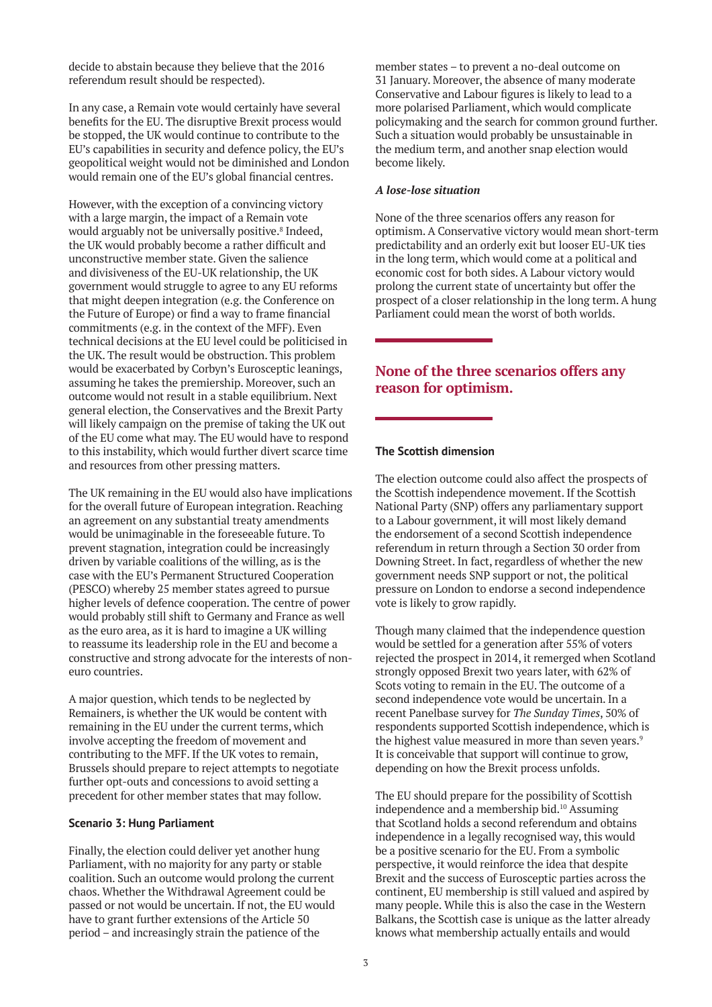decide to abstain because they believe that the 2016 referendum result should be respected).

In any case, a Remain vote would certainly have several benefits for the EU. The disruptive Brexit process would be stopped, the UK would continue to contribute to the EU's capabilities in security and defence policy, the EU's geopolitical weight would not be diminished and London would remain one of the EU's global financial centres.

However, with the exception of a convincing victory with a large margin, the impact of a Remain vote would arguably not be universally positive.<sup>8</sup> Indeed, the UK would probably become a rather difficult and unconstructive member state. Given the salience and divisiveness of the EU-UK relationship, the UK government would struggle to agree to any EU reforms that might deepen integration (e.g. the Conference on the Future of Europe) or find a way to frame financial commitments (e.g. in the context of the MFF). Even technical decisions at the EU level could be politicised in the UK. The result would be obstruction. This problem would be exacerbated by Corbyn's Eurosceptic leanings, assuming he takes the premiership. Moreover, such an outcome would not result in a stable equilibrium. Next general election, the Conservatives and the Brexit Party will likely campaign on the premise of taking the UK out of the EU come what may. The EU would have to respond to this instability, which would further divert scarce time and resources from other pressing matters.

The UK remaining in the EU would also have implications for the overall future of European integration. Reaching an agreement on any substantial treaty amendments would be unimaginable in the foreseeable future. To prevent stagnation, integration could be increasingly driven by variable coalitions of the willing, as is the case with the EU's Permanent Structured Cooperation (PESCO) whereby 25 member states agreed to pursue higher levels of defence cooperation. The centre of power would probably still shift to Germany and France as well as the euro area, as it is hard to imagine a UK willing to reassume its leadership role in the EU and become a constructive and strong advocate for the interests of noneuro countries.

A major question, which tends to be neglected by Remainers, is whether the UK would be content with remaining in the EU under the current terms, which involve accepting the freedom of movement and contributing to the MFF. If the UK votes to remain, Brussels should prepare to reject attempts to negotiate further opt-outs and concessions to avoid setting a precedent for other member states that may follow.

#### **Scenario 3: Hung Parliament**

Finally, the election could deliver yet another hung Parliament, with no majority for any party or stable coalition. Such an outcome would prolong the current chaos. Whether the Withdrawal Agreement could be passed or not would be uncertain. If not, the EU would have to grant further extensions of the Article 50 period – and increasingly strain the patience of the

member states – to prevent a no-deal outcome on 31 January. Moreover, the absence of many moderate Conservative and Labour figures is likely to lead to a more polarised Parliament, which would complicate policymaking and the search for common ground further. Such a situation would probably be unsustainable in the medium term, and another snap election would become likely.

#### *A lose-lose situation*

None of the three scenarios offers any reason for optimism. A Conservative victory would mean short-term predictability and an orderly exit but looser EU-UK ties in the long term, which would come at a political and economic cost for both sides. A Labour victory would prolong the current state of uncertainty but offer the prospect of a closer relationship in the long term. A hung Parliament could mean the worst of both worlds.

# **None of the three scenarios offers any reason for optimism.**

#### **The Scottish dimension**

The election outcome could also affect the prospects of the Scottish independence movement. If the Scottish National Party (SNP) offers any parliamentary support to a Labour government, it will most likely demand the endorsement of a second Scottish independence referendum in return through a Section 30 order from Downing Street. In fact, regardless of whether the new government needs SNP support or not, the political pressure on London to endorse a second independence vote is likely to grow rapidly.

Though many claimed that the independence question would be settled for a generation after 55% of voters rejected the prospect in 2014, it remerged when Scotland strongly opposed Brexit two years later, with 62% of Scots voting to remain in the EU. The outcome of a second independence vote would be uncertain. In a recent Panelbase survey for *The Sunday Times*, 50% of respondents supported Scottish independence, which is the highest value measured in more than seven years.<sup>9</sup> It is conceivable that support will continue to grow, depending on how the Brexit process unfolds.

The EU should prepare for the possibility of Scottish independence and a membership bid.10 Assuming that Scotland holds a second referendum and obtains independence in a legally recognised way, this would be a positive scenario for the EU. From a symbolic perspective, it would reinforce the idea that despite Brexit and the success of Eurosceptic parties across the continent, EU membership is still valued and aspired by many people. While this is also the case in the Western Balkans, the Scottish case is unique as the latter already knows what membership actually entails and would